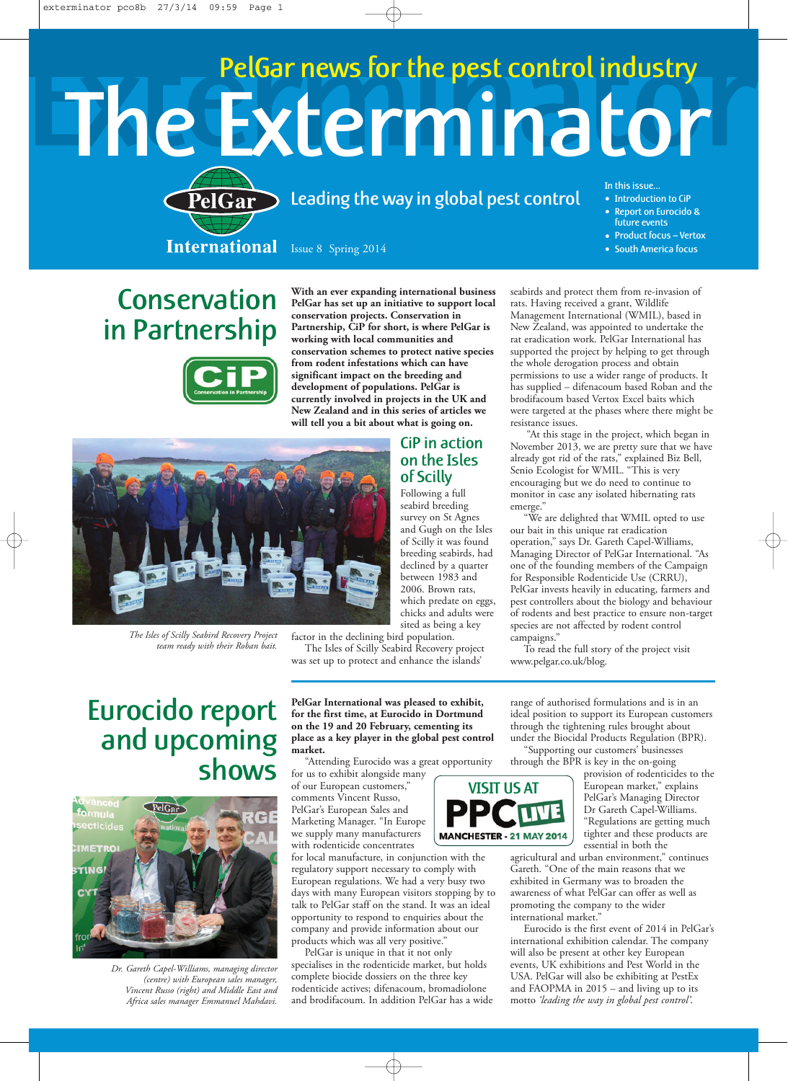## The Exterminator PelGar news for the pest control industry



leading the way in global pest control

In this issue… • Introduction to CiP

seabirds and protect them from re-invasion of rats. Having received a grant, Wildlife Management International (WMIL), based in New Zealand, was appointed to undertake the rat eradication work. PelGar International has supported the project by helping to get through the whole derogation process and obtain permissions to use a wider range of products. It has supplied – difenacoum based Roban and the brodifacoum based Vertox Excel baits which were targeted at the phases where there might be

"At this stage in the project, which began in November 2013, we are pretty sure that we have already got rid of the rats," explained Biz Bell, Senio Ecologist for WMIL. "This is very encouraging but we do need to continue to monitor in case any isolated hibernating rats

- Report on Eurocido & future events
- Product focus Vertox
- South America focus

**Conservation** in Partnership



**With an ever expanding international business PelGar has set up an initiative to support local conservation projects. Conservation in Partnership, CiP for short, is where PelGar is working with local communities and conservation schemes to protect native species from rodent infestations which can have significant impact on the breeding and development of populations. PelGar is currently involved in projects in the UK and New Zealand and in this series of articles we will tell you a bit about what is going on.**



*The Isles of Scilly Seabird Recovery Project team ready with their Roban bait.*

and Gugh on the Isles of Scilly it was found breeding seabirds, had

declined by a quarter between 1983 and 2006. Brown rats, which predate on eggs, chicks and adults were sited as being a key

CiP in action on the Isles of Scilly Following a full

factor in the declining bird population. The Isles of Scilly Seabird Recovery project was set up to protect and enhance the islands'

Eurocido report and upcoming shows



*Dr. Gareth Capel-Williams, managing director (centre) with European sales manager, Vincent Russo (right) and Middle East and Africa sales manager Emmanuel Mahdavi.*

**PelGar International was pleased to exhibit, for the first time, at Eurocido in Dortmund on the 19 and 20 February, cementing its place as a key player in the global pest control market.**

"Attending Eurocido was a great opportunity

for us to exhibit alongside many of our European customers," comments Vincent Russo, PelGar's European Sales and Marketing Manager. "In Europe we supply many manufacturers with rodenticide concentrates

for local manufacture, in conjunction with the regulatory support necessary to comply with European regulations. We had a very busy two days with many European visitors stopping by to talk to PelGar staff on the stand. It was an ideal opportunity to respond to enquiries about the company and provide information about our products which was all very positive."

PelGar is unique in that it not only specialises in the rodenticide market, but holds complete biocide dossiers on the three key rodenticide actives; difenacoum, bromadiolone and brodifacoum. In addition PelGar has a wide



range of authorised formulations and is in an ideal position to support its European customers

through the BPR is key in the on-going

for Responsible Rodenticide Use (CRRU), PelGar invests heavily in educating, farmers and pest controllers about the biology and behaviour of rodents and best practice to ensure non-target species are not affected by rodent control



provision of rodenticides to the European market," explains PelGar's Managing Director Dr Gareth Capel-Williams. "Regulations are getting much tighter and these products are essential in both the

agricultural and urban environment," continues Gareth. "One of the main reasons that we exhibited in Germany was to broaden the awareness of what PelGar can offer as well as promoting the company to the wider international market."

Eurocido is the first event of 2014 in PelGar's international exhibition calendar. The company will also be present at other key European events, UK exhibitions and Pest World in the USA. PelGar will also be exhibiting at PestEx and FAOPMA in 2015 – and living up to its motto *'leading the way in global pest control'*.

through the tightening rules brought about under the Biocidal Products Regulation (BPR). "Supporting our customers' businesses

To read the full story of the project visit

seabird breeding survey on St Agnes emerge." "We are delighted that WMIL opted to use our bait in this unique rat eradication operation," says Dr. Gareth Capel-Williams, Managing Director of PelGar International. "As one of the founding members of the Campaign

resistance issues.

campaigns."

www.pelgar.co.uk/blog.